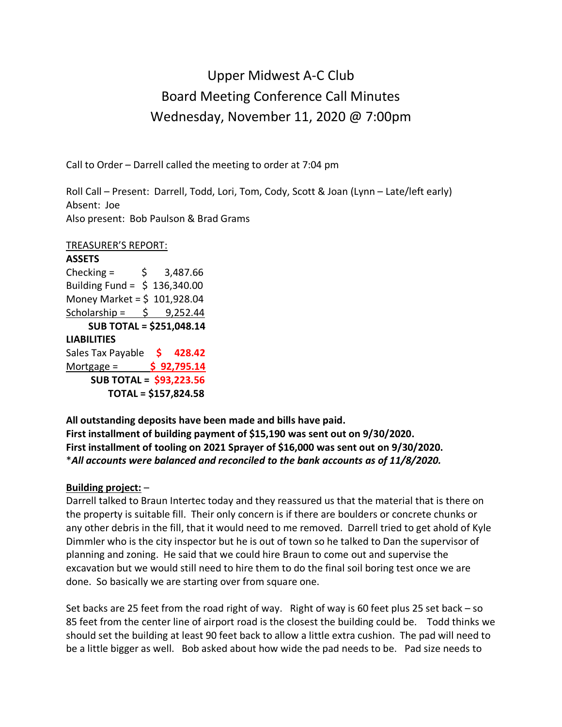# Upper Midwest A-C Club Board Meeting Conference Call Minutes Wednesday, November 11, 2020 @ 7:00pm

Call to Order – Darrell called the meeting to order at 7:04 pm

Roll Call – Present: Darrell, Todd, Lori, Tom, Cody, Scott & Joan (Lynn – Late/left early) Absent: Joe Also present: Bob Paulson & Brad Grams

TREASURER'S REPORT:

**ASSETS** Checking =  $\frac{1}{2}$  \$ 3,487.66 Building Fund =  $$136,340.00$ Money Market = \$ 101,928.04 Scholarship =  $\frac{1}{2}$  9,252.44 **SUB TOTAL = \$251,048.14 LIABILITIES** Sales Tax Payable **\$ 428.42** Mortgage = **\$ 92,795.14 SUB TOTAL = \$93,223.56 TOTAL = \$157,824.58**

**All outstanding deposits have been made and bills have paid. First installment of building payment of \$15,190 was sent out on 9/30/2020. First installment of tooling on 2021 Sprayer of \$16,000 was sent out on 9/30/2020.** \**All accounts were balanced and reconciled to the bank accounts as of 11/8/2020.*

## **Building project:** –

Darrell talked to Braun Intertec today and they reassured us that the material that is there on the property is suitable fill. Their only concern is if there are boulders or concrete chunks or any other debris in the fill, that it would need to me removed. Darrell tried to get ahold of Kyle Dimmler who is the city inspector but he is out of town so he talked to Dan the supervisor of planning and zoning. He said that we could hire Braun to come out and supervise the excavation but we would still need to hire them to do the final soil boring test once we are done. So basically we are starting over from square one.

Set backs are 25 feet from the road right of way. Right of way is 60 feet plus 25 set back – so 85 feet from the center line of airport road is the closest the building could be. Todd thinks we should set the building at least 90 feet back to allow a little extra cushion. The pad will need to be a little bigger as well. Bob asked about how wide the pad needs to be. Pad size needs to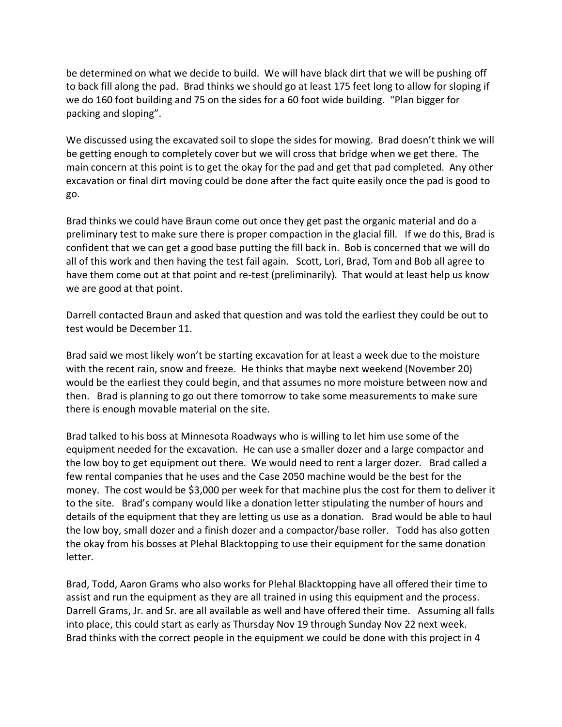be determined on what we decide to build. We will have black dirt that we will be pushing off to back fill along the pad. Brad thinks we should go at least 175 feet long to allow for sloping if we do 160 foot building and 75 on the sides for a 60 foot wide building. "Plan bigger for packing and sloping".

We discussed using the excavated soil to slope the sides for mowing. Brad doesn't think we will be getting enough to completely cover but we will cross that bridge when we get there. The main concern at this point is to get the okay for the pad and get that pad completed. Any other excavation or final dirt moving could be done after the fact quite easily once the pad is good to go.

Brad thinks we could have Braun come out once they get past the organic material and do a preliminary test to make sure there is proper compaction in the glacial fill. If we do this, Brad is confident that we can get a good base putting the fill back in. Bob is concerned that we will do all of this work and then having the test fail again. Scott, Lori, Brad, Tom and Bob all agree to have them come out at that point and re-test (preliminarily). That would at least help us know we are good at that point.

Darrell contacted Braun and asked that question and was told the earliest they could be out to test would be December 11.

Brad said we most likely won't be starting excavation for at least a week due to the moisture with the recent rain, snow and freeze. He thinks that maybe next weekend (November 20) would be the earliest they could begin, and that assumes no more moisture between now and then. Brad is planning to go out there tomorrow to take some measurements to make sure there is enough movable material on the site.

Brad talked to his boss at Minnesota Roadways who is willing to let him use some of the equipment needed for the excavation. He can use a smaller dozer and a large compactor and the low boy to get equipment out there. We would need to rent a larger dozer. Brad called a few rental companies that he uses and the Case 2050 machine would be the best for the money. The cost would be \$3,000 per week for that machine plus the cost for them to deliver it to the site. Brad's company would like a donation letter stipulating the number of hours and details of the equipment that they are letting us use as a donation. Brad would be able to haul the low boy, small dozer and a finish dozer and a compactor/base roller. Todd has also gotten the okay from his bosses at Plehal Blacktopping to use their equipment for the same donation letter.

Brad, Todd, Aaron Grams who also works for Plehal Blacktopping have all offered their time to assist and run the equipment as they are all trained in using this equipment and the process. Darrell Grams, Jr. and Sr. are all available as well and have offered their time. Assuming all falls into place, this could start as early as Thursday Nov 19 through Sunday Nov 22 next week. Brad thinks with the correct people in the equipment we could be done with this project in 4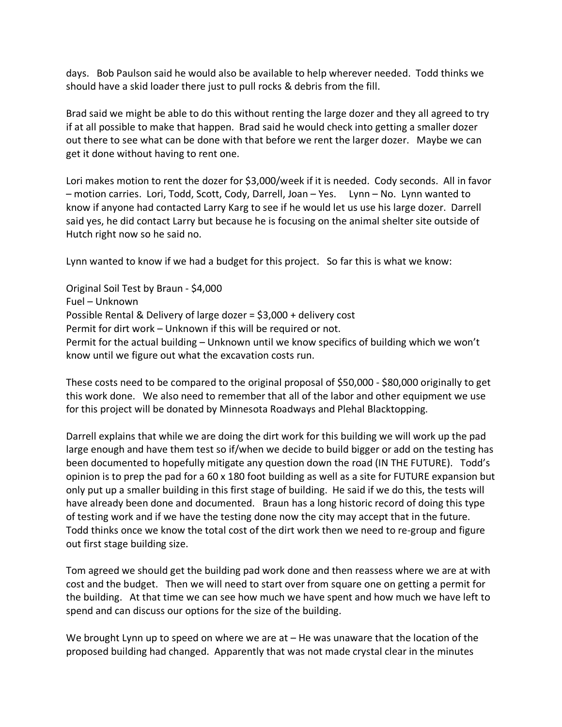days. Bob Paulson said he would also be available to help wherever needed. Todd thinks we should have a skid loader there just to pull rocks & debris from the fill.

Brad said we might be able to do this without renting the large dozer and they all agreed to try if at all possible to make that happen. Brad said he would check into getting a smaller dozer out there to see what can be done with that before we rent the larger dozer. Maybe we can get it done without having to rent one.

Lori makes motion to rent the dozer for \$3,000/week if it is needed. Cody seconds. All in favor – motion carries. Lori, Todd, Scott, Cody, Darrell, Joan – Yes. Lynn – No. Lynn wanted to know if anyone had contacted Larry Karg to see if he would let us use his large dozer. Darrell said yes, he did contact Larry but because he is focusing on the animal shelter site outside of Hutch right now so he said no.

Lynn wanted to know if we had a budget for this project. So far this is what we know:

Original Soil Test by Braun - \$4,000 Fuel – Unknown Possible Rental & Delivery of large dozer = \$3,000 + delivery cost Permit for dirt work – Unknown if this will be required or not. Permit for the actual building – Unknown until we know specifics of building which we won't know until we figure out what the excavation costs run.

These costs need to be compared to the original proposal of \$50,000 - \$80,000 originally to get this work done. We also need to remember that all of the labor and other equipment we use for this project will be donated by Minnesota Roadways and Plehal Blacktopping.

Darrell explains that while we are doing the dirt work for this building we will work up the pad large enough and have them test so if/when we decide to build bigger or add on the testing has been documented to hopefully mitigate any question down the road (IN THE FUTURE). Todd's opinion is to prep the pad for a 60 x 180 foot building as well as a site for FUTURE expansion but only put up a smaller building in this first stage of building. He said if we do this, the tests will have already been done and documented. Braun has a long historic record of doing this type of testing work and if we have the testing done now the city may accept that in the future. Todd thinks once we know the total cost of the dirt work then we need to re-group and figure out first stage building size.

Tom agreed we should get the building pad work done and then reassess where we are at with cost and the budget. Then we will need to start over from square one on getting a permit for the building. At that time we can see how much we have spent and how much we have left to spend and can discuss our options for the size of the building.

We brought Lynn up to speed on where we are at – He was unaware that the location of the proposed building had changed. Apparently that was not made crystal clear in the minutes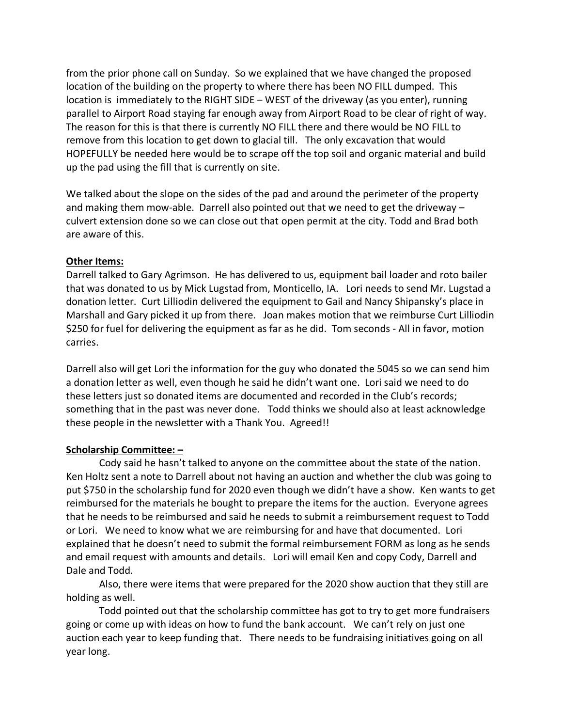from the prior phone call on Sunday. So we explained that we have changed the proposed location of the building on the property to where there has been NO FILL dumped. This location is immediately to the RIGHT SIDE – WEST of the driveway (as you enter), running parallel to Airport Road staying far enough away from Airport Road to be clear of right of way. The reason for this is that there is currently NO FILL there and there would be NO FILL to remove from this location to get down to glacial till. The only excavation that would HOPEFULLY be needed here would be to scrape off the top soil and organic material and build up the pad using the fill that is currently on site.

We talked about the slope on the sides of the pad and around the perimeter of the property and making them mow-able. Darrell also pointed out that we need to get the driveway – culvert extension done so we can close out that open permit at the city. Todd and Brad both are aware of this.

### **Other Items:**

Darrell talked to Gary Agrimson. He has delivered to us, equipment bail loader and roto bailer that was donated to us by Mick Lugstad from, Monticello, IA. Lori needs to send Mr. Lugstad a donation letter. Curt Lilliodin delivered the equipment to Gail and Nancy Shipansky's place in Marshall and Gary picked it up from there. Joan makes motion that we reimburse Curt Lilliodin \$250 for fuel for delivering the equipment as far as he did. Tom seconds - All in favor, motion carries.

Darrell also will get Lori the information for the guy who donated the 5045 so we can send him a donation letter as well, even though he said he didn't want one. Lori said we need to do these letters just so donated items are documented and recorded in the Club's records; something that in the past was never done. Todd thinks we should also at least acknowledge these people in the newsletter with a Thank You. Agreed!!

### **Scholarship Committee: –**

Cody said he hasn't talked to anyone on the committee about the state of the nation. Ken Holtz sent a note to Darrell about not having an auction and whether the club was going to put \$750 in the scholarship fund for 2020 even though we didn't have a show. Ken wants to get reimbursed for the materials he bought to prepare the items for the auction. Everyone agrees that he needs to be reimbursed and said he needs to submit a reimbursement request to Todd or Lori. We need to know what we are reimbursing for and have that documented. Lori explained that he doesn't need to submit the formal reimbursement FORM as long as he sends and email request with amounts and details. Lori will email Ken and copy Cody, Darrell and Dale and Todd.

Also, there were items that were prepared for the 2020 show auction that they still are holding as well.

Todd pointed out that the scholarship committee has got to try to get more fundraisers going or come up with ideas on how to fund the bank account. We can't rely on just one auction each year to keep funding that. There needs to be fundraising initiatives going on all year long.